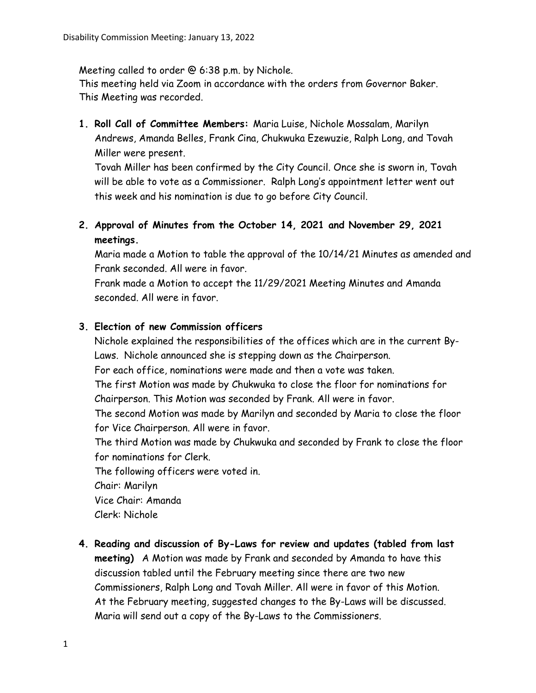Meeting called to order @ 6:38 p.m. by Nichole.

This meeting held via Zoom in accordance with the orders from Governor Baker. This Meeting was recorded.

**1. Roll Call of Committee Members:** Maria Luise, Nichole Mossalam, Marilyn Andrews, Amanda Belles, Frank Cina, Chukwuka Ezewuzie, Ralph Long, and Tovah Miller were present.

Tovah Miller has been confirmed by the City Council. Once she is sworn in, Tovah will be able to vote as a Commissioner. Ralph Long's appointment letter went out this week and his nomination is due to go before City Council.

**2. Approval of Minutes from the October 14, 2021 and November 29, 2021 meetings.** 

Maria made a Motion to table the approval of the 10/14/21 Minutes as amended and Frank seconded. All were in favor.

Frank made a Motion to accept the 11/29/2021 Meeting Minutes and Amanda seconded. All were in favor.

## **3. Election of new Commission officers**

Nichole explained the responsibilities of the offices which are in the current By-Laws. Nichole announced she is stepping down as the Chairperson.

For each office, nominations were made and then a vote was taken.

The first Motion was made by Chukwuka to close the floor for nominations for Chairperson. This Motion was seconded by Frank. All were in favor.

The second Motion was made by Marilyn and seconded by Maria to close the floor for Vice Chairperson. All were in favor.

The third Motion was made by Chukwuka and seconded by Frank to close the floor for nominations for Clerk.

The following officers were voted in.

Chair: Marilyn

Vice Chair: Amanda

Clerk: Nichole

**4. Reading and discussion of By-Laws for review and updates (tabled from last meeting)** A Motion was made by Frank and seconded by Amanda to have this discussion tabled until the February meeting since there are two new Commissioners, Ralph Long and Tovah Miller. All were in favor of this Motion. At the February meeting, suggested changes to the By-Laws will be discussed. Maria will send out a copy of the By-Laws to the Commissioners.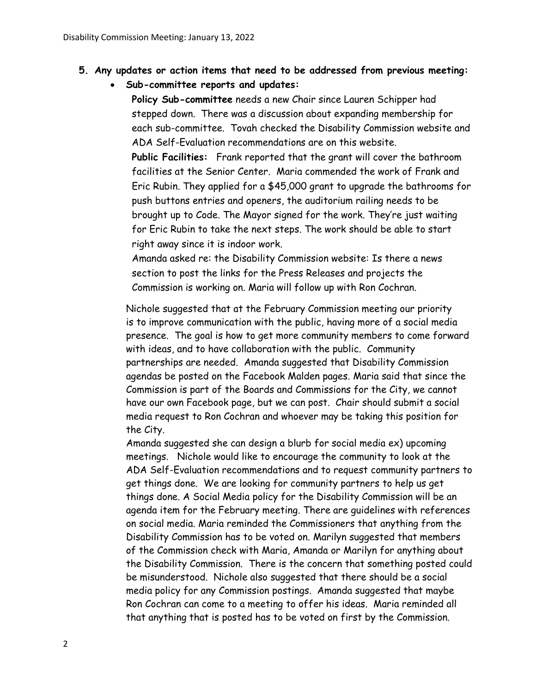- **5. Any updates or action items that need to be addressed from previous meeting:** 
	- **Sub-committee reports and updates:**

**Policy Sub-committee** needs a new Chair since Lauren Schipper had stepped down. There was a discussion about expanding membership for each sub-committee. Tovah checked the Disability Commission website and ADA Self-Evaluation recommendations are on this website.

**Public Facilities:** Frank reported that the grant will cover the bathroom facilities at the Senior Center. Maria commended the work of Frank and Eric Rubin. They applied for a \$45,000 grant to upgrade the bathrooms for push buttons entries and openers, the auditorium railing needs to be brought up to Code. The Mayor signed for the work. They're just waiting for Eric Rubin to take the next steps. The work should be able to start right away since it is indoor work.

Amanda asked re: the Disability Commission website: Is there a news section to post the links for the Press Releases and projects the Commission is working on. Maria will follow up with Ron Cochran.

Nichole suggested that at the February Commission meeting our priority is to improve communication with the public, having more of a social media presence. The goal is how to get more community members to come forward with ideas, and to have collaboration with the public. Community partnerships are needed. Amanda suggested that Disability Commission agendas be posted on the Facebook Malden pages. Maria said that since the Commission is part of the Boards and Commissions for the City, we cannot have our own Facebook page, but we can post. Chair should submit a social media request to Ron Cochran and whoever may be taking this position for the City.

Amanda suggested she can design a blurb for social media ex) upcoming meetings. Nichole would like to encourage the community to look at the ADA Self-Evaluation recommendations and to request community partners to get things done. We are looking for community partners to help us get things done. A Social Media policy for the Disability Commission will be an agenda item for the February meeting. There are guidelines with references on social media. Maria reminded the Commissioners that anything from the Disability Commission has to be voted on. Marilyn suggested that members of the Commission check with Maria, Amanda or Marilyn for anything about the Disability Commission. There is the concern that something posted could be misunderstood. Nichole also suggested that there should be a social media policy for any Commission postings. Amanda suggested that maybe Ron Cochran can come to a meeting to offer his ideas. Maria reminded all that anything that is posted has to be voted on first by the Commission.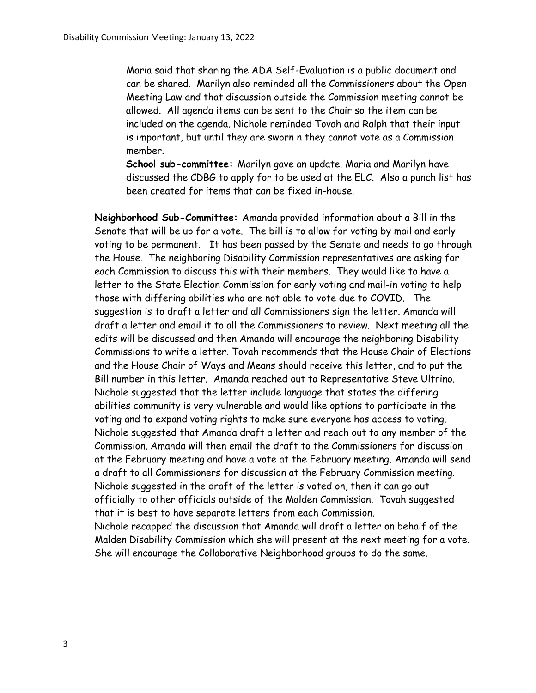Maria said that sharing the ADA Self-Evaluation is a public document and can be shared. Marilyn also reminded all the Commissioners about the Open Meeting Law and that discussion outside the Commission meeting cannot be allowed. All agenda items can be sent to the Chair so the item can be included on the agenda. Nichole reminded Tovah and Ralph that their input is important, but until they are sworn n they cannot vote as a Commission member.

**School sub-committee:** Marilyn gave an update. Maria and Marilyn have discussed the CDBG to apply for to be used at the ELC. Also a punch list has been created for items that can be fixed in-house.

**Neighborhood Sub-Committee:** Amanda provided information about a Bill in the Senate that will be up for a vote. The bill is to allow for voting by mail and early voting to be permanent. It has been passed by the Senate and needs to go through the House. The neighboring Disability Commission representatives are asking for each Commission to discuss this with their members. They would like to have a letter to the State Election Commission for early voting and mail-in voting to help those with differing abilities who are not able to vote due to COVID. The suggestion is to draft a letter and all Commissioners sign the letter. Amanda will draft a letter and email it to all the Commissioners to review. Next meeting all the edits will be discussed and then Amanda will encourage the neighboring Disability Commissions to write a letter. Tovah recommends that the House Chair of Elections and the House Chair of Ways and Means should receive this letter, and to put the Bill number in this letter. Amanda reached out to Representative Steve Ultrino. Nichole suggested that the letter include language that states the differing abilities community is very vulnerable and would like options to participate in the voting and to expand voting rights to make sure everyone has access to voting. Nichole suggested that Amanda draft a letter and reach out to any member of the Commission. Amanda will then email the draft to the Commissioners for discussion at the February meeting and have a vote at the February meeting. Amanda will send a draft to all Commissioners for discussion at the February Commission meeting. Nichole suggested in the draft of the letter is voted on, then it can go out officially to other officials outside of the Malden Commission. Tovah suggested that it is best to have separate letters from each Commission. Nichole recapped the discussion that Amanda will draft a letter on behalf of the Malden Disability Commission which she will present at the next meeting for a vote. She will encourage the Collaborative Neighborhood groups to do the same.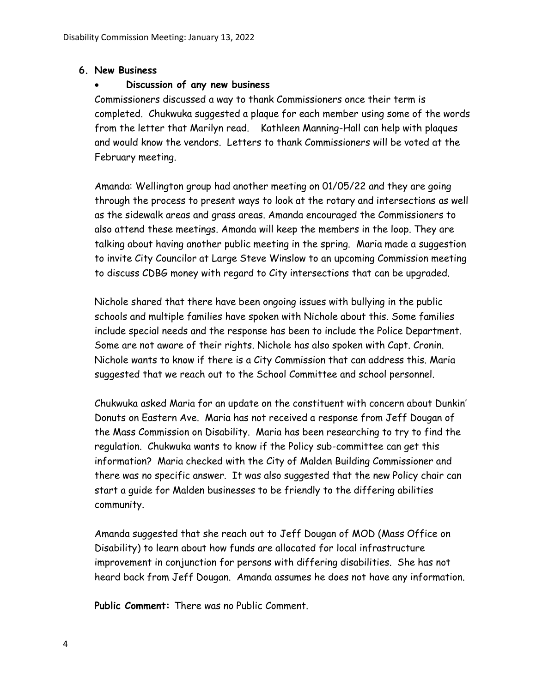## **6. New Business**

## • **Discussion of any new business**

Commissioners discussed a way to thank Commissioners once their term is completed. Chukwuka suggested a plaque for each member using some of the words from the letter that Marilyn read. Kathleen Manning-Hall can help with plaques and would know the vendors. Letters to thank Commissioners will be voted at the February meeting.

Amanda: Wellington group had another meeting on 01/05/22 and they are going through the process to present ways to look at the rotary and intersections as well as the sidewalk areas and grass areas. Amanda encouraged the Commissioners to also attend these meetings. Amanda will keep the members in the loop. They are talking about having another public meeting in the spring. Maria made a suggestion to invite City Councilor at Large Steve Winslow to an upcoming Commission meeting to discuss CDBG money with regard to City intersections that can be upgraded.

Nichole shared that there have been ongoing issues with bullying in the public schools and multiple families have spoken with Nichole about this. Some families include special needs and the response has been to include the Police Department. Some are not aware of their rights. Nichole has also spoken with Capt. Cronin. Nichole wants to know if there is a City Commission that can address this. Maria suggested that we reach out to the School Committee and school personnel.

Chukwuka asked Maria for an update on the constituent with concern about Dunkin' Donuts on Eastern Ave. Maria has not received a response from Jeff Dougan of the Mass Commission on Disability. Maria has been researching to try to find the regulation. Chukwuka wants to know if the Policy sub-committee can get this information? Maria checked with the City of Malden Building Commissioner and there was no specific answer. It was also suggested that the new Policy chair can start a guide for Malden businesses to be friendly to the differing abilities community.

Amanda suggested that she reach out to Jeff Dougan of MOD (Mass Office on Disability) to learn about how funds are allocated for local infrastructure improvement in conjunction for persons with differing disabilities. She has not heard back from Jeff Dougan. Amanda assumes he does not have any information.

**Public Comment:** There was no Public Comment.